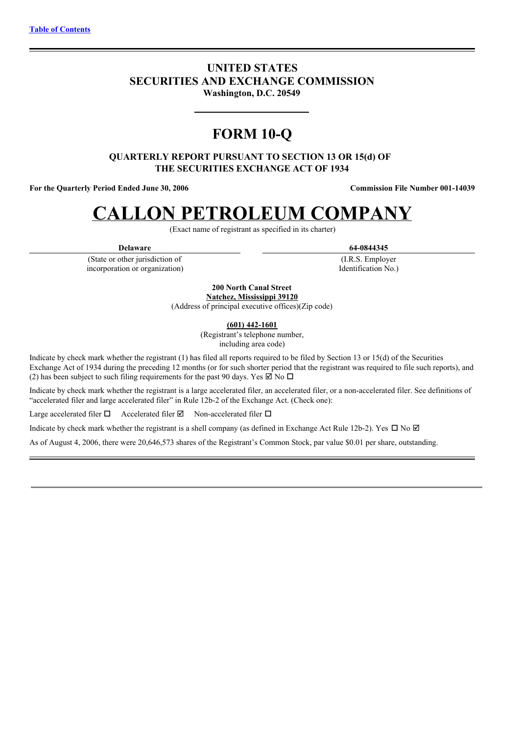## <span id="page-0-0"></span>**UNITED STATES SECURITIES AND EXCHANGE COMMISSION Washington, D.C. 20549**

# **FORM 10-Q**

**QUARTERLY REPORT PURSUANT TO SECTION 13 OR 15(d) OF THE SECURITIES EXCHANGE ACT OF 1934**

**For the Quarterly Period Ended June 30, 2006 Commission File Number 001-14039**

# **CALLON PETROLEUM COMPANY**

(Exact name of registrant as specified in its charter)

**Delaware 64-0844345**

(State or other jurisdiction of incorporation or organization)

(I.R.S. Employer Identification No.)

**200 North Canal Street Natchez, Mississippi 39120**

(Address of principal executive offices)(Zip code)

**(601) 442-1601**

(Registrant's telephone number, including area code)

Indicate by check mark whether the registrant (1) has filed all reports required to be filed by Section 13 or 15(d) of the Securities Exchange Act of 1934 during the preceding 12 months (or for such shorter period that the registrant was required to file such reports), and (2) has been subject to such filing requirements for the past 90 days. Yes  $\boxtimes$  No  $\Box$ 

Indicate by check mark whether the registrant is a large accelerated filer, an accelerated filer, or a non-accelerated filer. See definitions of "accelerated filer and large accelerated filer" in Rule 12b-2 of the Exchange Act. (Check one):

Large accelerated filer  $\square$  Accelerated filer  $\square$  Non-accelerated filer  $\square$ 

Indicate by check mark whether the registrant is a shell company (as defined in Exchange Act Rule 12b-2). Yes  $\Box$  No  $\Box$ 

As of August 4, 2006, there were 20,646,573 shares of the Registrant's Common Stock, par value \$0.01 per share, outstanding.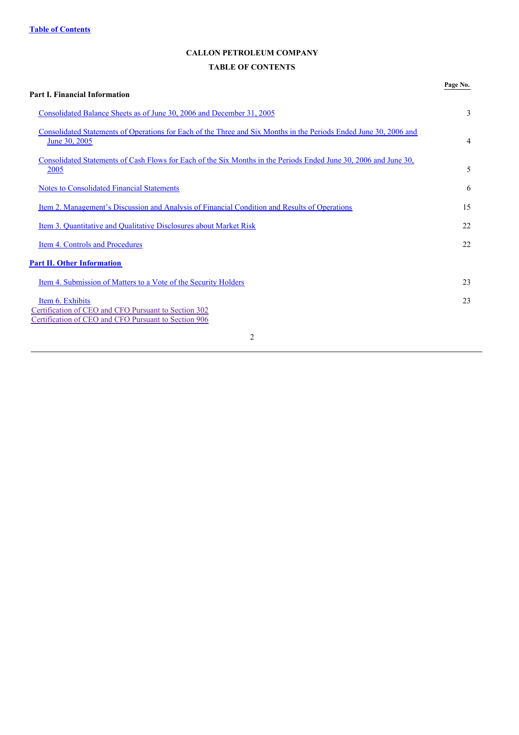## **CALLON PETROLEUM COMPANY TABLE OF CONTENTS**

| <b>Part I. Financial Information</b>                                                                                               | Page No. |
|------------------------------------------------------------------------------------------------------------------------------------|----------|
| Consolidated Balance Sheets as of June 30, 2006 and December 31, 2005                                                              | 3        |
| Consolidated Statements of Operations for Each of the Three and Six Months in the Periods Ended June 30, 2006 and<br>June 30, 2005 | 4        |
| Consolidated Statements of Cash Flows for Each of the Six Months in the Periods Ended June 30, 2006 and June 30,<br><u>2005</u>    | 5        |
| <b>Notes to Consolidated Financial Statements</b>                                                                                  | 6        |
| <u>Item 2. Management's Discussion and Analysis of Financial Condition and Results of Operations</u>                               | 15       |
| Item 3. Quantitative and Qualitative Disclosures about Market Risk                                                                 | 22       |
| Item 4. Controls and Procedures                                                                                                    | 22       |
| <b>Part II. Other Information</b>                                                                                                  |          |
| Item 4. Submission of Matters to a Vote of the Security Holders                                                                    | 23       |
| Item 6. Exhibits<br>Certification of CEO and CFO Pursuant to Section 302<br>Certification of CEO and CFO Pursuant to Section 906   | 23       |
| 2                                                                                                                                  |          |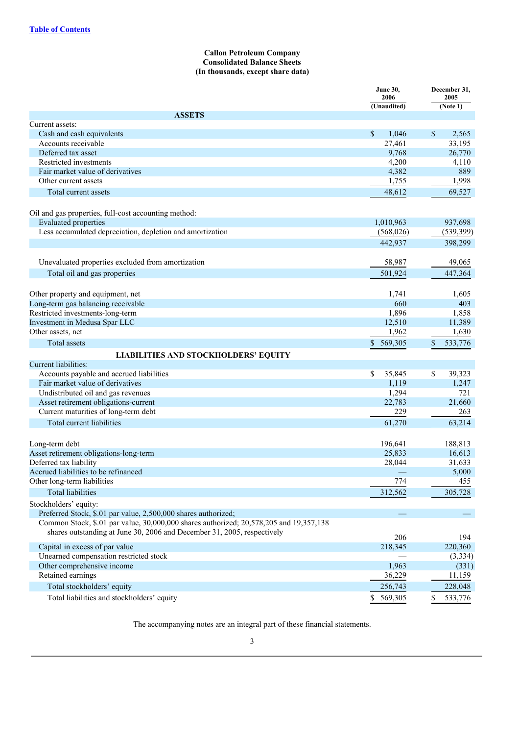## **Callon Petroleum Company Consolidated Balance Sheets (In thousands, except share data)**

|                                                                                        | <b>June 30,</b><br>2006<br>(Unaudited) | December 31,<br>2005<br>(Note 1) |  |
|----------------------------------------------------------------------------------------|----------------------------------------|----------------------------------|--|
| <b>ASSETS</b>                                                                          |                                        |                                  |  |
| Current assets:                                                                        |                                        |                                  |  |
| Cash and cash equivalents                                                              | $\mathbb{S}$<br>1,046                  | \$<br>2,565                      |  |
| Accounts receivable                                                                    | 27,461                                 | 33,195                           |  |
| Deferred tax asset                                                                     | 9,768                                  | 26,770                           |  |
| Restricted investments                                                                 | 4,200                                  | 4,110                            |  |
| Fair market value of derivatives                                                       | 4,382                                  | 889                              |  |
| Other current assets                                                                   | 1,755                                  | 1,998                            |  |
| Total current assets                                                                   | 48,612                                 | 69,527                           |  |
|                                                                                        |                                        |                                  |  |
| Oil and gas properties, full-cost accounting method:                                   |                                        |                                  |  |
| <b>Evaluated properties</b>                                                            | 1,010,963                              | 937,698                          |  |
| Less accumulated depreciation, depletion and amortization                              | (568, 026)                             | (539, 399)                       |  |
|                                                                                        | 442,937                                | 398,299                          |  |
| Unevaluated properties excluded from amortization                                      | 58,987                                 | 49,065                           |  |
| Total oil and gas properties                                                           | 501,924                                | 447,364                          |  |
|                                                                                        |                                        |                                  |  |
| Other property and equipment, net                                                      | 1,741                                  | 1,605                            |  |
| Long-term gas balancing receivable                                                     | 660                                    | 403                              |  |
| Restricted investments-long-term                                                       | 1,896                                  | 1,858                            |  |
| Investment in Medusa Spar LLC                                                          | 12,510                                 | 11,389                           |  |
| Other assets, net                                                                      | 1,962                                  | 1,630                            |  |
| Total assets                                                                           | \$<br>569,305                          | \$<br>533,776                    |  |
| <b>LIABILITIES AND STOCKHOLDERS' EQUITY</b>                                            |                                        |                                  |  |
| Current liabilities:                                                                   |                                        |                                  |  |
| Accounts payable and accrued liabilities                                               | \$<br>35,845                           | \$<br>39,323                     |  |
| Fair market value of derivatives                                                       | 1,119                                  | 1,247                            |  |
| Undistributed oil and gas revenues                                                     | 1,294                                  | 721                              |  |
| Asset retirement obligations-current                                                   | 22,783                                 | 21,660                           |  |
| Current maturities of long-term debt                                                   | 229                                    | 263                              |  |
| Total current liabilities                                                              | 61,270                                 | 63,214                           |  |
|                                                                                        |                                        |                                  |  |
| Long-term debt                                                                         | 196,641                                | 188,813                          |  |
| Asset retirement obligations-long-term                                                 | 25,833                                 | 16,613                           |  |
| Deferred tax liability                                                                 | 28,044                                 | 31,633                           |  |
| Accrued liabilities to be refinanced                                                   |                                        | 5,000                            |  |
| Other long-term liabilities                                                            | 774                                    | 455                              |  |
| <b>Total liabilities</b>                                                               | 312,562                                | 305,728                          |  |
| Stockholders' equity:                                                                  |                                        |                                  |  |
| Preferred Stock, \$.01 par value, 2,500,000 shares authorized;                         |                                        |                                  |  |
| Common Stock, \$.01 par value, 30,000,000 shares authorized; 20,578,205 and 19,357,138 |                                        |                                  |  |
| shares outstanding at June 30, 2006 and December 31, 2005, respectively                | 206                                    | 194                              |  |
| Capital in excess of par value                                                         | 218,345                                | 220,360                          |  |
| Unearned compensation restricted stock                                                 |                                        | (3,334)                          |  |
| Other comprehensive income                                                             | 1,963                                  | (331)                            |  |
| Retained earnings                                                                      | 36,229                                 | 11,159                           |  |
| Total stockholders' equity                                                             | 256,743                                | 228,048                          |  |
| Total liabilities and stockholders' equity                                             | \$569,305                              | \$<br>533,776                    |  |

The accompanying notes are an integral part of these financial statements.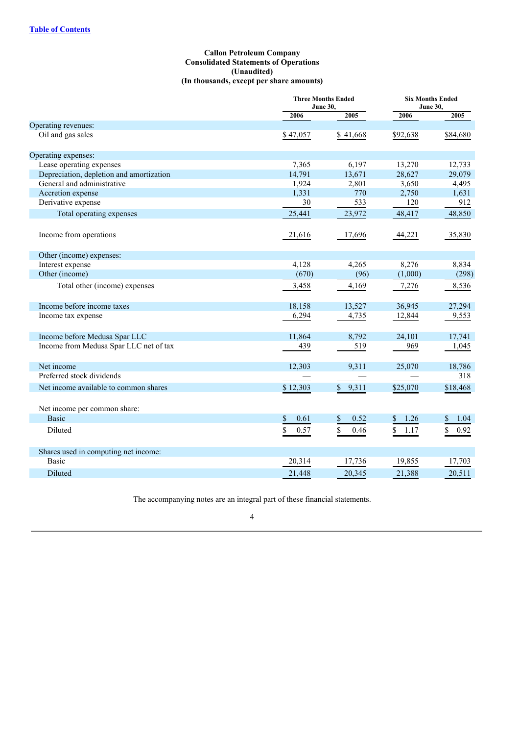## **Callon Petroleum Company Consolidated Statements of Operations (Unaudited) (In thousands, except per share amounts)**

|                                          |            | <b>Three Months Ended</b><br><b>June 30,</b> |            | <b>Six Months Ended</b><br><b>June 30,</b> |
|------------------------------------------|------------|----------------------------------------------|------------|--------------------------------------------|
|                                          | 2006       | 2005                                         | 2006       | 2005                                       |
| Operating revenues:                      |            |                                              |            |                                            |
| Oil and gas sales                        | \$47,057   | \$41,668                                     | \$92,638   | \$84,680                                   |
| Operating expenses:                      |            |                                              |            |                                            |
| Lease operating expenses                 | 7,365      | 6,197                                        | 13,270     | 12,733                                     |
| Depreciation, depletion and amortization | 14,791     | 13,671                                       | 28,627     | 29,079                                     |
| General and administrative               | 1,924      | 2,801                                        | 3,650      | 4,495                                      |
| Accretion expense                        | 1,331      | 770                                          | 2,750      | 1,631                                      |
| Derivative expense                       | 30         | 533                                          | 120        | 912                                        |
| Total operating expenses                 | 25,441     | 23,972                                       | 48,417     | 48,850                                     |
| Income from operations                   | 21,616     | 17,696                                       | 44,221     | 35,830                                     |
| Other (income) expenses:                 |            |                                              |            |                                            |
| Interest expense                         | 4,128      | 4,265                                        | 8,276      | 8,834                                      |
| Other (income)                           | (670)      | (96)                                         | (1,000)    | (298)                                      |
| Total other (income) expenses            | 3,458      | 4,169                                        | 7,276      | 8,536                                      |
| Income before income taxes               | 18,158     | 13,527                                       | 36,945     | 27,294                                     |
| Income tax expense                       | 6,294      | 4,735                                        | 12,844     | 9,553                                      |
| Income before Medusa Spar LLC            | 11,864     | 8,792                                        | 24,101     | 17,741                                     |
| Income from Medusa Spar LLC net of tax   | 439        | 519                                          | 969        | 1,045                                      |
| Net income                               | 12,303     | 9,311                                        | 25,070     | 18,786                                     |
| Preferred stock dividends                |            |                                              |            | 318                                        |
| Net income available to common shares    | \$12,303   | 9,311<br>\$                                  | \$25,070   | \$18,468                                   |
| Net income per common share:             |            |                                              |            |                                            |
| <b>Basic</b>                             | \$<br>0.61 | 0.52<br>\$                                   | 1.26<br>\$ | \$<br>1.04                                 |
| Diluted                                  | \$<br>0.57 | \$<br>0.46                                   | 1.17<br>\$ | \$<br>0.92                                 |
| Shares used in computing net income:     |            |                                              |            |                                            |
| <b>Basic</b>                             | 20,314     | 17,736                                       | 19,855     | 17,703                                     |
| Diluted                                  | 21,448     | 20,345                                       | 21,388     | 20,511                                     |

The accompanying notes are an integral part of these financial statements.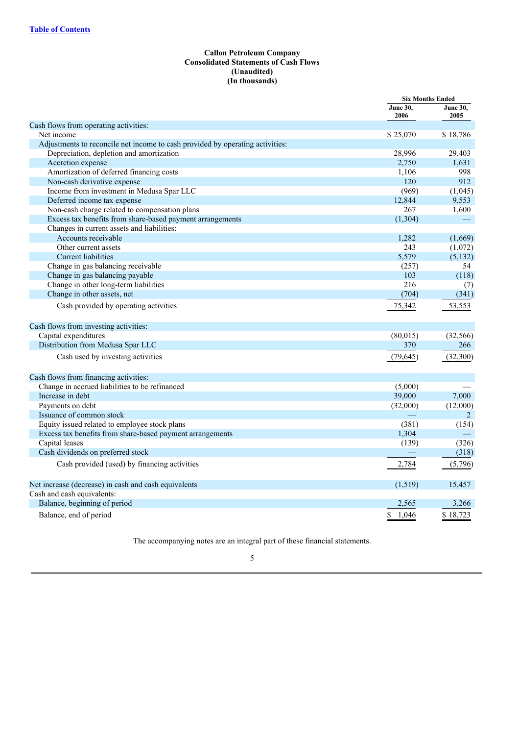## **Callon Petroleum Company Consolidated Statements of Cash Flows (Unaudited) (In thousands)**

|                                                                               | <b>Six Months Ended</b> |                         |
|-------------------------------------------------------------------------------|-------------------------|-------------------------|
|                                                                               | <b>June 30,</b><br>2006 | <b>June 30,</b><br>2005 |
| Cash flows from operating activities:                                         |                         |                         |
| Net income                                                                    | \$25,070                | \$18,786                |
| Adjustments to reconcile net income to cash provided by operating activities: |                         |                         |
| Depreciation, depletion and amortization                                      | 28,996                  | 29,403                  |
| Accretion expense                                                             | 2,750                   | 1,631                   |
| Amortization of deferred financing costs                                      | 1,106                   | 998                     |
| Non-cash derivative expense                                                   | 120                     | 912                     |
| Income from investment in Medusa Spar LLC                                     | (969)                   | (1,045)                 |
| Deferred income tax expense                                                   | 12,844                  | 9,553                   |
| Non-cash charge related to compensation plans                                 | 267                     | 1,600                   |
| Excess tax benefits from share-based payment arrangements                     | (1, 304)                |                         |
| Changes in current assets and liabilities:                                    |                         |                         |
| Accounts receivable                                                           | 1,282                   | (1,669)                 |
| Other current assets                                                          | 243                     | (1,072)                 |
| Current liabilities                                                           | 5.579                   | (5,132)                 |
| Change in gas balancing receivable                                            | (257)                   | 54                      |
| Change in gas balancing payable                                               | 103                     | (118)                   |
| Change in other long-term liabilities                                         | 216                     | (7)                     |
| Change in other assets, net                                                   | (704)                   | (341)                   |
| Cash provided by operating activities                                         | 75,342                  | 53,553                  |
| Cash flows from investing activities:                                         |                         |                         |
| Capital expenditures                                                          | (80,015)                | (32, 566)               |
| Distribution from Medusa Spar LLC                                             | 370                     | 266                     |
| Cash used by investing activities                                             | (79, 645)               | (32,300)                |
| Cash flows from financing activities:                                         |                         |                         |
| Change in accrued liabilities to be refinanced                                | (5,000)                 |                         |
| Increase in debt                                                              | 39,000                  | 7,000                   |
| Payments on debt                                                              | (32,000)                | (12,000)                |
| Issuance of common stock                                                      |                         | 2                       |
| Equity issued related to employee stock plans                                 | (381)                   | (154)                   |
| Excess tax benefits from share-based payment arrangements                     | 1,304                   |                         |
| Capital leases                                                                | (139)                   | (326)                   |
| Cash dividends on preferred stock                                             |                         | (318)                   |
| Cash provided (used) by financing activities                                  | 2,784                   | (5,796)                 |
| Net increase (decrease) in cash and cash equivalents                          | (1,519)                 | 15,457                  |
| Cash and cash equivalents:                                                    |                         |                         |
| Balance, beginning of period                                                  | 2.565                   | 3.266                   |
| Balance, end of period                                                        | \$1,046                 | \$18,723                |

The accompanying notes are an integral part of these financial statements.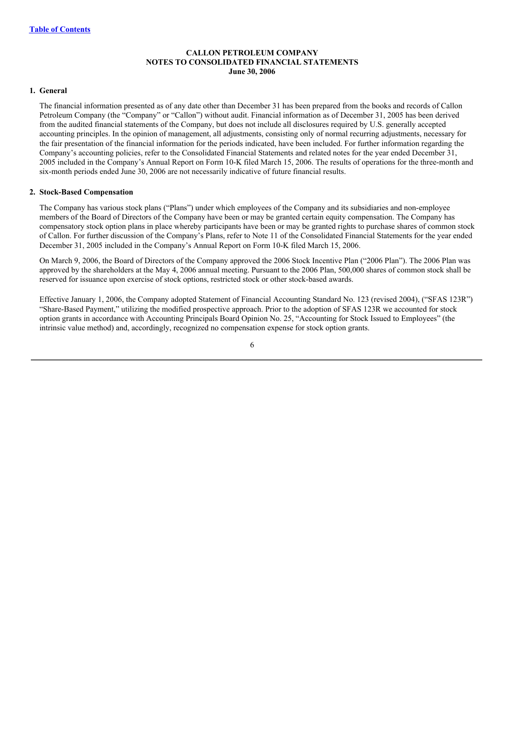## **CALLON PETROLEUM COMPANY NOTES TO CONSOLIDATED FINANCIAL STATEMENTS June 30, 2006**

#### **1. General**

The financial information presented as of any date other than December 31 has been prepared from the books and records of Callon Petroleum Company (the "Company" or "Callon") without audit. Financial information as of December 31, 2005 has been derived from the audited financial statements of the Company, but does not include all disclosures required by U.S. generally accepted accounting principles. In the opinion of management, all adjustments, consisting only of normal recurring adjustments, necessary for the fair presentation of the financial information for the periods indicated, have been included. For further information regarding the Company's accounting policies, refer to the Consolidated Financial Statements and related notes for the year ended December 31, 2005 included in the Company's Annual Report on Form 10-K filed March 15, 2006. The results of operations for the three-month and six-month periods ended June 30, 2006 are not necessarily indicative of future financial results.

#### **2. Stock-Based Compensation**

The Company has various stock plans ("Plans") under which employees of the Company and its subsidiaries and non-employee members of the Board of Directors of the Company have been or may be granted certain equity compensation. The Company has compensatory stock option plans in place whereby participants have been or may be granted rights to purchase shares of common stock of Callon. For further discussion of the Company's Plans, refer to Note 11 of the Consolidated Financial Statements for the year ended December 31, 2005 included in the Company's Annual Report on Form 10-K filed March 15, 2006.

On March 9, 2006, the Board of Directors of the Company approved the 2006 Stock Incentive Plan ("2006 Plan"). The 2006 Plan was approved by the shareholders at the May 4, 2006 annual meeting. Pursuant to the 2006 Plan, 500,000 shares of common stock shall be reserved for issuance upon exercise of stock options, restricted stock or other stock-based awards.

Effective January 1, 2006, the Company adopted Statement of Financial Accounting Standard No. 123 (revised 2004), ("SFAS 123R") "Share-Based Payment," utilizing the modified prospective approach. Prior to the adoption of SFAS 123R we accounted for stock option grants in accordance with Accounting Principals Board Opinion No. 25, "Accounting for Stock Issued to Employees" (the intrinsic value method) and, accordingly, recognized no compensation expense for stock option grants.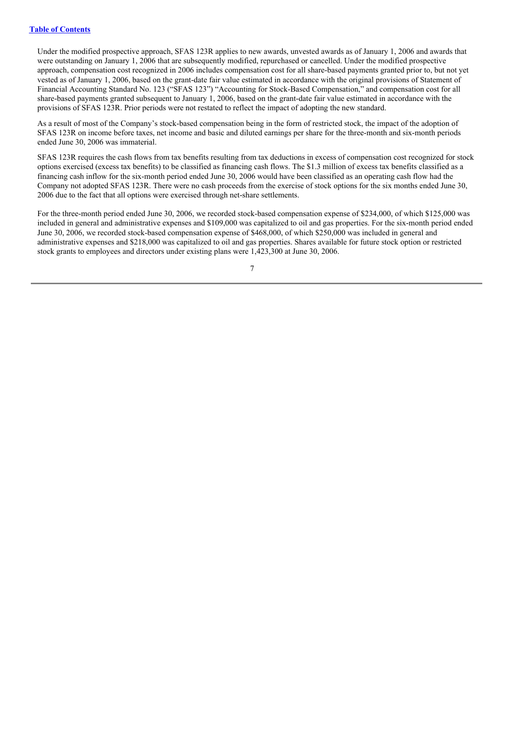Under the modified prospective approach, SFAS 123R applies to new awards, unvested awards as of January 1, 2006 and awards that were outstanding on January 1, 2006 that are subsequently modified, repurchased or cancelled. Under the modified prospective approach, compensation cost recognized in 2006 includes compensation cost for all share-based payments granted prior to, but not yet vested as of January 1, 2006, based on the grant-date fair value estimated in accordance with the original provisions of Statement of Financial Accounting Standard No. 123 ("SFAS 123") "Accounting for Stock-Based Compensation," and compensation cost for all share-based payments granted subsequent to January 1, 2006, based on the grant-date fair value estimated in accordance with the provisions of SFAS 123R. Prior periods were not restated to reflect the impact of adopting the new standard.

As a result of most of the Company's stock-based compensation being in the form of restricted stock, the impact of the adoption of SFAS 123R on income before taxes, net income and basic and diluted earnings per share for the three-month and six-month periods ended June 30, 2006 was immaterial.

SFAS 123R requires the cash flows from tax benefits resulting from tax deductions in excess of compensation cost recognized for stock options exercised (excess tax benefits) to be classified as financing cash flows. The \$1.3 million of excess tax benefits classified as a financing cash inflow for the six-month period ended June 30, 2006 would have been classified as an operating cash flow had the Company not adopted SFAS 123R. There were no cash proceeds from the exercise of stock options for the six months ended June 30, 2006 due to the fact that all options were exercised through net-share settlements.

For the three-month period ended June 30, 2006, we recorded stock-based compensation expense of \$234,000, of which \$125,000 was included in general and administrative expenses and \$109,000 was capitalized to oil and gas properties. For the six-month period ended June 30, 2006, we recorded stock-based compensation expense of \$468,000, of which \$250,000 was included in general and administrative expenses and \$218,000 was capitalized to oil and gas properties. Shares available for future stock option or restricted stock grants to employees and directors under existing plans were 1,423,300 at June 30, 2006.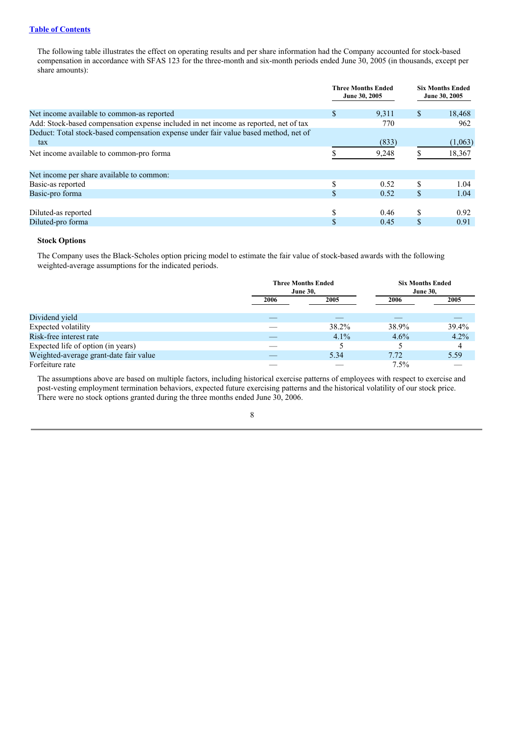The following table illustrates the effect on operating results and per share information had the Company accounted for stock-based compensation in accordance with SFAS 123 for the three-month and six-month periods ended June 30, 2005 (in thousands, except per share amounts):

|                                                                                      |   | <b>Three Months Ended</b><br>June 30, 2005 | <b>Six Months Ended</b><br>June 30, 2005 |         |
|--------------------------------------------------------------------------------------|---|--------------------------------------------|------------------------------------------|---------|
| Net income available to common-as reported                                           | S | 9,311                                      | \$                                       | 18,468  |
| Add: Stock-based compensation expense included in net income as reported, net of tax |   | 770                                        |                                          | 962     |
| Deduct: Total stock-based compensation expense under fair value based method, net of |   |                                            |                                          |         |
| tax                                                                                  |   | (833)                                      |                                          | (1,063) |
| Net income available to common-pro forma                                             |   | 9,248                                      |                                          | 18,367  |
| Net income per share available to common:                                            |   |                                            |                                          |         |
| Basic-as reported                                                                    |   | 0.52                                       |                                          | 1.04    |
| Basic-pro forma                                                                      |   | 0.52                                       | \$                                       | 1.04    |
|                                                                                      |   |                                            |                                          |         |
| Diluted-as reported                                                                  |   | 0.46                                       | S                                        | 0.92    |
| Diluted-pro forma                                                                    |   | 0.45                                       | S                                        | 0.91    |
|                                                                                      |   |                                            |                                          |         |

## **Stock Options**

The Company uses the Black-Scholes option pricing model to estimate the fair value of stock-based awards with the following weighted-average assumptions for the indicated periods.

|                                        |      | <b>Three Months Ended</b><br><b>June 30,</b> |         | <b>Six Months Ended</b><br><b>June 30,</b> |  |
|----------------------------------------|------|----------------------------------------------|---------|--------------------------------------------|--|
|                                        | 2006 | 2005                                         | 2006    | 2005                                       |  |
| Dividend yield                         |      |                                              |         |                                            |  |
| Expected volatility                    |      | 38.2%                                        | 38.9%   | 39.4%                                      |  |
| Risk-free interest rate                |      | $4.1\%$                                      | $4.6\%$ | $4.2\%$                                    |  |
| Expected life of option (in years)     |      |                                              |         | 4                                          |  |
| Weighted-average grant-date fair value |      | 5.34                                         | 7.72    | 5.59                                       |  |
| Forfeiture rate                        |      |                                              | $7.5\%$ |                                            |  |

The assumptions above are based on multiple factors, including historical exercise patterns of employees with respect to exercise and post-vesting employment termination behaviors, expected future exercising patterns and the historical volatility of our stock price. There were no stock options granted during the three months ended June 30, 2006.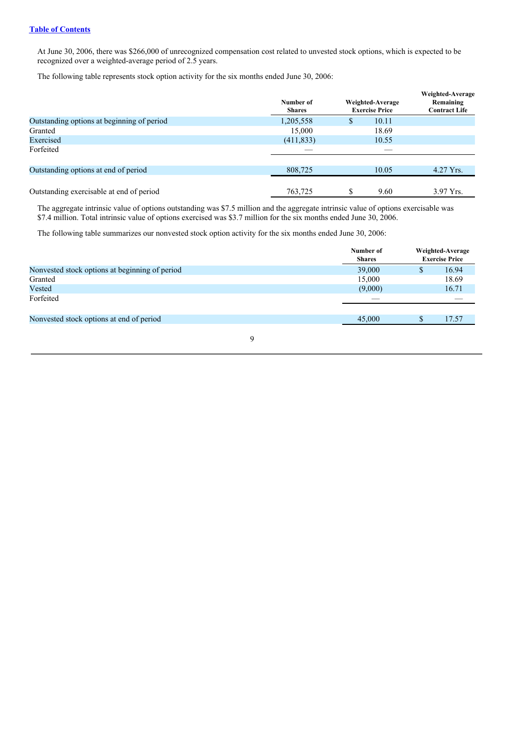At June 30, 2006, there was \$266,000 of unrecognized compensation cost related to unvested stock options, which is expected to be recognized over a weighted-average period of 2.5 years.

The following table represents stock option activity for the six months ended June 30, 2006:

|                                            | Number of<br><b>Shares</b> |    | Weighted-Average<br><b>Exercise Price</b> | Weighted-Average<br>Remaining<br><b>Contract Life</b> |
|--------------------------------------------|----------------------------|----|-------------------------------------------|-------------------------------------------------------|
| Outstanding options at beginning of period | 1,205,558                  | \$ | 10.11                                     |                                                       |
| Granted                                    | 15,000                     |    | 18.69                                     |                                                       |
| Exercised                                  | (411, 833)                 |    | 10.55                                     |                                                       |
| Forfeited                                  |                            |    |                                           |                                                       |
|                                            |                            |    |                                           |                                                       |
| Outstanding options at end of period       | 808,725                    |    | 10.05                                     | 4.27 Yrs.                                             |
| Outstanding exercisable at end of period   | 763,725                    | S  | 9.60                                      | 3.97 Yrs.                                             |

The aggregate intrinsic value of options outstanding was \$7.5 million and the aggregate intrinsic value of options exercisable was \$7.4 million. Total intrinsic value of options exercised was \$3.7 million for the six months ended June 30, 2006.

The following table summarizes our nonvested stock option activity for the six months ended June 30, 2006:

|                                                | Number of<br><b>Shares</b> | Weighted-Average<br><b>Exercise Price</b> |       |
|------------------------------------------------|----------------------------|-------------------------------------------|-------|
| Nonvested stock options at beginning of period | 39,000                     | \$                                        | 16.94 |
| Granted                                        | 15,000                     |                                           | 18.69 |
| Vested                                         | (9,000)                    |                                           | 16.71 |
| Forfeited                                      |                            |                                           |       |
|                                                |                            |                                           |       |
| Nonvested stock options at end of period       | 45,000                     | S                                         | 17.57 |
|                                                |                            |                                           |       |
| $\Omega$                                       |                            |                                           |       |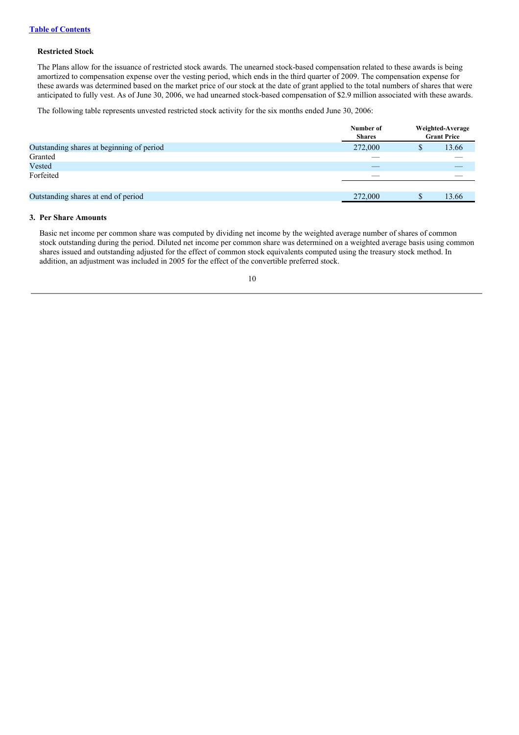## **Restricted Stock**

The Plans allow for the issuance of restricted stock awards. The unearned stock-based compensation related to these awards is being amortized to compensation expense over the vesting period, which ends in the third quarter of 2009. The compensation expense for these awards was determined based on the market price of our stock at the date of grant applied to the total numbers of shares that were anticipated to fully vest. As of June 30, 2006, we had unearned stock-based compensation of \$2.9 million associated with these awards.

The following table represents unvested restricted stock activity for the six months ended June 30, 2006:

|                                           | Number of<br><b>Shares</b> | Weighted-Average<br><b>Grant Price</b> |       |  |
|-------------------------------------------|----------------------------|----------------------------------------|-------|--|
| Outstanding shares at beginning of period | 272,000                    | \$                                     | 13.66 |  |
| Granted                                   |                            |                                        |       |  |
| Vested                                    | _                          |                                        |       |  |
| Forfeited                                 | __                         |                                        |       |  |
|                                           |                            |                                        |       |  |
| Outstanding shares at end of period       | 272,000                    | S                                      | 13.66 |  |

#### **3. Per Share Amounts**

Basic net income per common share was computed by dividing net income by the weighted average number of shares of common stock outstanding during the period. Diluted net income per common share was determined on a weighted average basis using common shares issued and outstanding adjusted for the effect of common stock equivalents computed using the treasury stock method. In addition, an adjustment was included in 2005 for the effect of the convertible preferred stock.

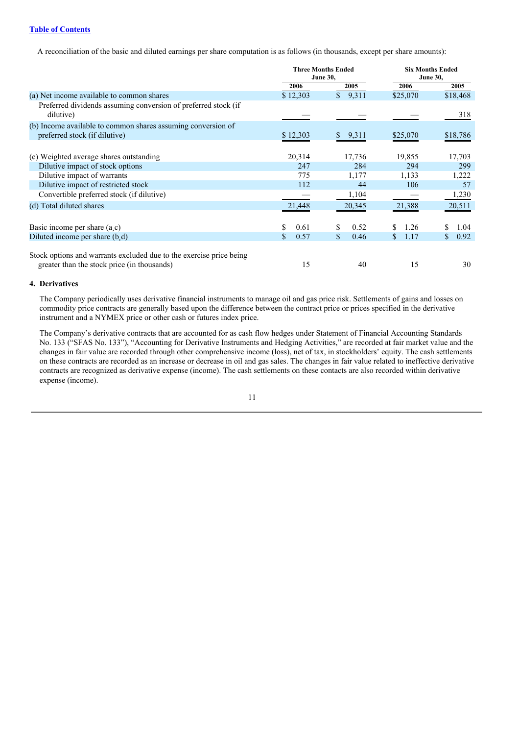A reconciliation of the basic and diluted earnings per share computation is as follows (in thousands, except per share amounts):

|                                                                             | <b>Three Months Ended</b><br><b>June 30,</b> |            | <b>Six Months Ended</b><br><b>June 30,</b> |            |
|-----------------------------------------------------------------------------|----------------------------------------------|------------|--------------------------------------------|------------|
|                                                                             | 2006                                         | 2005       | 2006                                       | 2005       |
| (a) Net income available to common shares                                   | \$12,303                                     | \$9,311    | \$25,070                                   | \$18,468   |
| Preferred dividends assuming conversion of preferred stock (if<br>dilutive) |                                              |            |                                            | 318        |
| (b) Income available to common shares assuming conversion of                |                                              |            |                                            |            |
| preferred stock (if dilutive)                                               | \$12,303                                     | 9,311      | \$25,070                                   | \$18,786   |
|                                                                             |                                              |            |                                            |            |
| (c) Weighted average shares outstanding                                     | 20,314                                       | 17,736     | 19,855                                     | 17,703     |
| Dilutive impact of stock options                                            | 247                                          | 284        | 294                                        | 299        |
| Dilutive impact of warrants                                                 | 775                                          | 1,177      | 1,133                                      | 1,222      |
| Dilutive impact of restricted stock                                         | 112                                          | 44         | 106                                        | 57         |
| Convertible preferred stock (if dilutive)                                   |                                              | 1,104      |                                            | 1,230      |
| (d) Total diluted shares                                                    | 21,448                                       | 20,345     | 21,388                                     | 20,511     |
|                                                                             |                                              |            |                                            |            |
| Basic income per share $(a, c)$                                             | 0.61                                         | 0.52       | 1.26                                       | 1.04       |
| Diluted income per share $(b,d)$                                            | 0.57<br>S.                                   | \$<br>0.46 | S.<br>1.17                                 | 0.92<br>S. |
| Stock options and warrants excluded due to the exercise price being         |                                              | 40         | 15                                         | 30         |
| greater than the stock price (in thousands)                                 | 15                                           |            |                                            |            |

#### **4. Derivatives**

The Company periodically uses derivative financial instruments to manage oil and gas price risk. Settlements of gains and losses on commodity price contracts are generally based upon the difference between the contract price or prices specified in the derivative instrument and a NYMEX price or other cash or futures index price.

The Company's derivative contracts that are accounted for as cash flow hedges under Statement of Financial Accounting Standards No. 133 ("SFAS No. 133"), "Accounting for Derivative Instruments and Hedging Activities," are recorded at fair market value and the changes in fair value are recorded through other comprehensive income (loss), net of tax, in stockholders' equity. The cash settlements on these contracts are recorded as an increase or decrease in oil and gas sales. The changes in fair value related to ineffective derivative contracts are recognized as derivative expense (income). The cash settlements on these contacts are also recorded within derivative expense (income).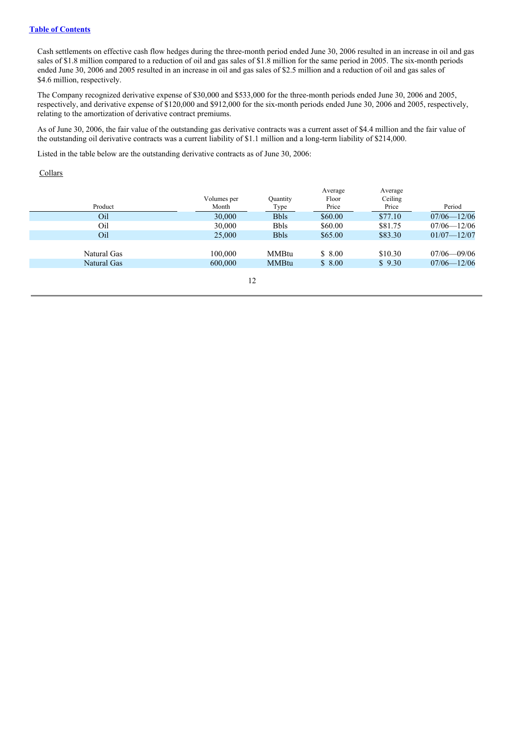Cash settlements on effective cash flow hedges during the three-month period ended June 30, 2006 resulted in an increase in oil and gas sales of \$1.8 million compared to a reduction of oil and gas sales of \$1.8 million for the same period in 2005. The six-month periods ended June 30, 2006 and 2005 resulted in an increase in oil and gas sales of \$2.5 million and a reduction of oil and gas sales of \$4.6 million, respectively.

The Company recognized derivative expense of \$30,000 and \$533,000 for the three-month periods ended June 30, 2006 and 2005, respectively, and derivative expense of \$120,000 and \$912,000 for the six-month periods ended June 30, 2006 and 2005, respectively, relating to the amortization of derivative contract premiums.

As of June 30, 2006, the fair value of the outstanding gas derivative contracts was a current asset of \$4.4 million and the fair value of the outstanding oil derivative contracts was a current liability of \$1.1 million and a long-term liability of \$214,000.

Listed in the table below are the outstanding derivative contracts as of June 30, 2006:

**Collars** 

|                 | Volumes per | Quantity     | Average<br>Floor | Average<br>Ceiling |                 |
|-----------------|-------------|--------------|------------------|--------------------|-----------------|
| Product         | Month       | Type         | Price            | Price              | Period          |
| O <sub>il</sub> | 30,000      | <b>Bbls</b>  | \$60.00          | \$77.10            | $07/06 - 12/06$ |
| Oil             | 30,000      | <b>Bbls</b>  | \$60.00          | \$81.75            | $07/06 - 12/06$ |
| O <sub>il</sub> | 25,000      | <b>Bbls</b>  | \$65.00          | \$83.30            | $01/07 - 12/07$ |
|                 |             |              |                  |                    |                 |
| Natural Gas     | 100,000     | <b>MMBtu</b> | \$8.00           | \$10.30            | $07/06 - 09/06$ |
| Natural Gas     | 600,000     | <b>MMBtu</b> | \$8.00           | \$9.30             | $07/06 - 12/06$ |
|                 |             | 12           |                  |                    |                 |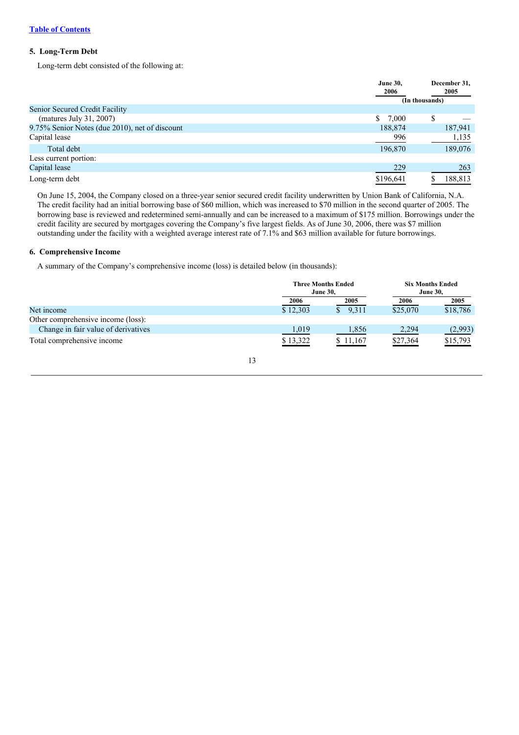## **5. Long-Term Debt**

Long-term debt consisted of the following at:

|                                                | <b>June 30,</b><br>2006 |                | December 31,<br>2005 |  |
|------------------------------------------------|-------------------------|----------------|----------------------|--|
|                                                |                         | (In thousands) |                      |  |
| Senior Secured Credit Facility                 |                         |                |                      |  |
| (matures July 31, 2007)                        | \$7,000                 | \$             |                      |  |
| 9.75% Senior Notes (due 2010), net of discount | 188,874                 |                | 187,941              |  |
| Capital lease                                  | 996                     |                | 1,135                |  |
| Total debt                                     | 196,870                 |                | 189,076              |  |
| Less current portion:                          |                         |                |                      |  |
| Capital lease                                  | 229                     |                | 263                  |  |
| Long-term debt                                 | \$196,641               |                | 188,813              |  |

On June 15, 2004, the Company closed on a three-year senior secured credit facility underwritten by Union Bank of California, N.A. The credit facility had an initial borrowing base of \$60 million, which was increased to \$70 million in the second quarter of 2005. The borrowing base is reviewed and redetermined semi-annually and can be increased to a maximum of \$175 million. Borrowings under the credit facility are secured by mortgages covering the Company's five largest fields. As of June 30, 2006, there was \$7 million outstanding under the facility with a weighted average interest rate of 7.1% and \$63 million available for future borrowings.

## **6. Comprehensive Income**

A summary of the Company's comprehensive income (loss) is detailed below (in thousands):

|                                     |          | <b>Three Months Ended</b><br><b>June 30,</b> |          | <b>Six Months Ended</b><br><b>June 30,</b> |  |
|-------------------------------------|----------|----------------------------------------------|----------|--------------------------------------------|--|
|                                     | 2006     | 2005                                         | 2006     | 2005                                       |  |
| Net income                          | \$12,303 | 9,311                                        | \$25,070 | \$18,786                                   |  |
| Other comprehensive income (loss):  |          |                                              |          |                                            |  |
| Change in fair value of derivatives | 1,019    | 1,856                                        | 2,294    | (2,993)                                    |  |
| Total comprehensive income          | \$13,322 | \$11,167                                     | \$27,364 | \$15,793                                   |  |
|                                     |          |                                              |          |                                            |  |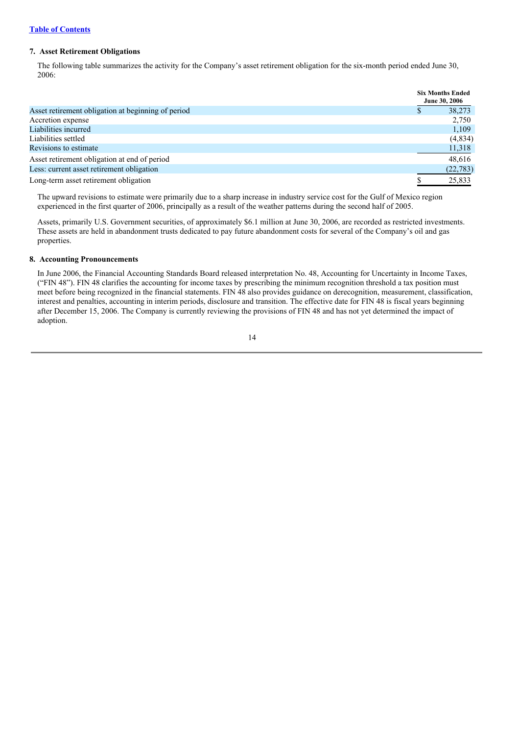## **7. Asset Retirement Obligations**

The following table summarizes the activity for the Company's asset retirement obligation for the six-month period ended June 30, 2006:

|                                                    | <b>Six Months Ended</b><br><b>June 30, 2006</b> |  |
|----------------------------------------------------|-------------------------------------------------|--|
| Asset retirement obligation at beginning of period | 38,273                                          |  |
| Accretion expense                                  | 2,750                                           |  |
| Liabilities incurred                               | 1.109                                           |  |
| Liabilities settled                                | (4,834)                                         |  |
| Revisions to estimate                              | 11,318                                          |  |
| Asset retirement obligation at end of period       | 48.616                                          |  |
| Less: current asset retirement obligation          | (22, 783)                                       |  |
| Long-term asset retirement obligation              | 25,833<br>S                                     |  |

The upward revisions to estimate were primarily due to a sharp increase in industry service cost for the Gulf of Mexico region experienced in the first quarter of 2006, principally as a result of the weather patterns during the second half of 2005.

Assets, primarily U.S. Government securities, of approximately \$6.1 million at June 30, 2006, are recorded as restricted investments. These assets are held in abandonment trusts dedicated to pay future abandonment costs for several of the Company's oil and gas properties.

#### **8. Accounting Pronouncements**

In June 2006, the Financial Accounting Standards Board released interpretation No. 48, Accounting for Uncertainty in Income Taxes, ("FIN 48"). FIN 48 clarifies the accounting for income taxes by prescribing the minimum recognition threshold a tax position must meet before being recognized in the financial statements. FIN 48 also provides guidance on derecognition, measurement, classification, interest and penalties, accounting in interim periods, disclosure and transition. The effective date for FIN 48 is fiscal years beginning after December 15, 2006. The Company is currently reviewing the provisions of FIN 48 and has not yet determined the impact of adoption.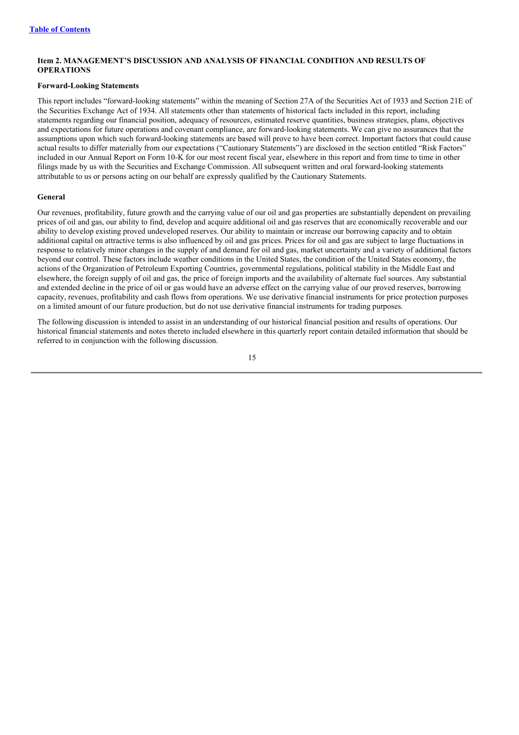## **Item 2. MANAGEMENT'S DISCUSSION AND ANALYSIS OF FINANCIAL CONDITION AND RESULTS OF OPERATIONS**

## **Forward-Looking Statements**

This report includes "forward-looking statements" within the meaning of Section 27A of the Securities Act of 1933 and Section 21E of the Securities Exchange Act of 1934. All statements other than statements of historical facts included in this report, including statements regarding our financial position, adequacy of resources, estimated reserve quantities, business strategies, plans, objectives and expectations for future operations and covenant compliance, are forward-looking statements. We can give no assurances that the assumptions upon which such forward-looking statements are based will prove to have been correct. Important factors that could cause actual results to differ materially from our expectations ("Cautionary Statements") are disclosed in the section entitled "Risk Factors" included in our Annual Report on Form 10-K for our most recent fiscal year, elsewhere in this report and from time to time in other filings made by us with the Securities and Exchange Commission. All subsequent written and oral forward-looking statements attributable to us or persons acting on our behalf are expressly qualified by the Cautionary Statements.

## **General**

Our revenues, profitability, future growth and the carrying value of our oil and gas properties are substantially dependent on prevailing prices of oil and gas, our ability to find, develop and acquire additional oil and gas reserves that are economically recoverable and our ability to develop existing proved undeveloped reserves. Our ability to maintain or increase our borrowing capacity and to obtain additional capital on attractive terms is also influenced by oil and gas prices. Prices for oil and gas are subject to large fluctuations in response to relatively minor changes in the supply of and demand for oil and gas, market uncertainty and a variety of additional factors beyond our control. These factors include weather conditions in the United States, the condition of the United States economy, the actions of the Organization of Petroleum Exporting Countries, governmental regulations, political stability in the Middle East and elsewhere, the foreign supply of oil and gas, the price of foreign imports and the availability of alternate fuel sources. Any substantial and extended decline in the price of oil or gas would have an adverse effect on the carrying value of our proved reserves, borrowing capacity, revenues, profitability and cash flows from operations. We use derivative financial instruments for price protection purposes on a limited amount of our future production, but do not use derivative financial instruments for trading purposes.

The following discussion is intended to assist in an understanding of our historical financial position and results of operations. Our historical financial statements and notes thereto included elsewhere in this quarterly report contain detailed information that should be referred to in conjunction with the following discussion.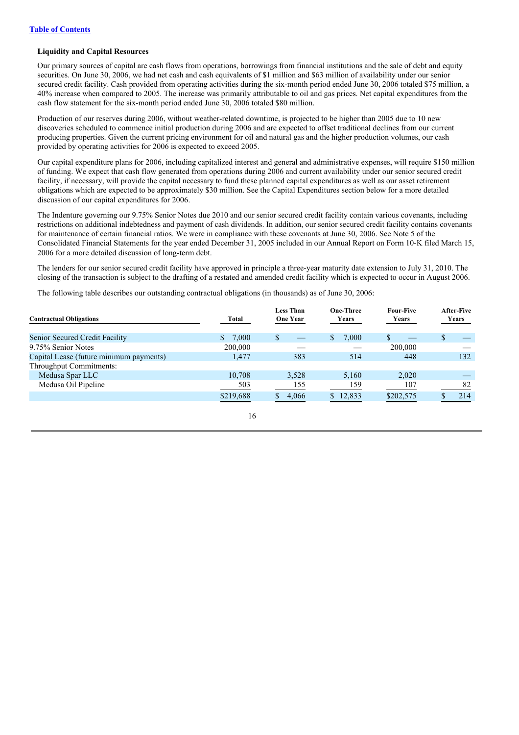## **Liquidity and Capital Resources**

Our primary sources of capital are cash flows from operations, borrowings from financial institutions and the sale of debt and equity securities. On June 30, 2006, we had net cash and cash equivalents of \$1 million and \$63 million of availability under our senior secured credit facility. Cash provided from operating activities during the six-month period ended June 30, 2006 totaled \$75 million, a 40% increase when compared to 2005. The increase was primarily attributable to oil and gas prices. Net capital expenditures from the cash flow statement for the six-month period ended June 30, 2006 totaled \$80 million.

Production of our reserves during 2006, without weather-related downtime, is projected to be higher than 2005 due to 10 new discoveries scheduled to commence initial production during 2006 and are expected to offset traditional declines from our current producing properties. Given the current pricing environment for oil and natural gas and the higher production volumes, our cash provided by operating activities for 2006 is expected to exceed 2005.

Our capital expenditure plans for 2006, including capitalized interest and general and administrative expenses, will require \$150 million of funding. We expect that cash flow generated from operations during 2006 and current availability under our senior secured credit facility, if necessary, will provide the capital necessary to fund these planned capital expenditures as well as our asset retirement obligations which are expected to be approximately \$30 million. See the Capital Expenditures section below for a more detailed discussion of our capital expenditures for 2006.

The Indenture governing our 9.75% Senior Notes due 2010 and our senior secured credit facility contain various covenants, including restrictions on additional indebtedness and payment of cash dividends. In addition, our senior secured credit facility contains covenants for maintenance of certain financial ratios. We were in compliance with these covenants at June 30, 2006. See Note 5 of the Consolidated Financial Statements for the year ended December 31, 2005 included in our Annual Report on Form 10-K filed March 15, 2006 for a more detailed discussion of long-term debt.

The lenders for our senior secured credit facility have approved in principle a three-year maturity date extension to July 31, 2010. The closing of the transaction is subject to the drafting of a restated and amended credit facility which is expected to occur in August 2006.

The following table describes our outstanding contractual obligations (in thousands) as of June 30, 2006:

| <b>Contractual Obligations</b>          | Total      | <b>Less Than</b><br><b>One Year</b> | <b>One-Three</b><br>Years | <b>Four-Five</b><br>Years | <b>After-Five</b><br>Years |
|-----------------------------------------|------------|-------------------------------------|---------------------------|---------------------------|----------------------------|
| Senior Secured Credit Facility          | S<br>7.000 | S                                   | 7,000<br>S.               | S                         | \$                         |
| 9.75% Senior Notes                      | 200,000    |                                     |                           | 200,000                   |                            |
| Capital Lease (future minimum payments) | 1.477      | 383                                 | 514                       | 448                       | 132                        |
| Throughput Commitments:                 |            |                                     |                           |                           |                            |
| Medusa Spar LLC                         | 10.708     | 3.528                               | 5.160                     | 2.020                     |                            |
| Medusa Oil Pipeline                     | 503        | 155                                 | 159                       | 107                       | 82                         |
|                                         | \$219,688  | 4,066                               | \$12,833                  | \$202,575                 | 214                        |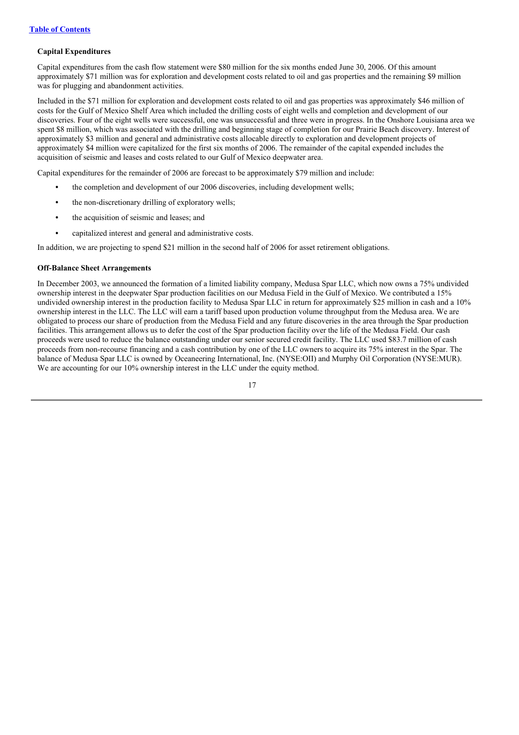## **Capital Expenditures**

Capital expenditures from the cash flow statement were \$80 million for the six months ended June 30, 2006. Of this amount approximately \$71 million was for exploration and development costs related to oil and gas properties and the remaining \$9 million was for plugging and abandonment activities.

Included in the \$71 million for exploration and development costs related to oil and gas properties was approximately \$46 million of costs for the Gulf of Mexico Shelf Area which included the drilling costs of eight wells and completion and development of our discoveries. Four of the eight wells were successful, one was unsuccessful and three were in progress. In the Onshore Louisiana area we spent \$8 million, which was associated with the drilling and beginning stage of completion for our Prairie Beach discovery. Interest of approximately \$3 million and general and administrative costs allocable directly to exploration and development projects of approximately \$4 million were capitalized for the first six months of 2006. The remainder of the capital expended includes the acquisition of seismic and leases and costs related to our Gulf of Mexico deepwater area.

Capital expenditures for the remainder of 2006 are forecast to be approximately \$79 million and include:

- **•** the completion and development of our 2006 discoveries, including development wells;
- the non-discretionary drilling of exploratory wells;
- **•** the acquisition of seismic and leases; and
- **•** capitalized interest and general and administrative costs.

In addition, we are projecting to spend \$21 million in the second half of 2006 for asset retirement obligations.

#### **Off-Balance Sheet Arrangements**

In December 2003, we announced the formation of a limited liability company, Medusa Spar LLC, which now owns a 75% undivided ownership interest in the deepwater Spar production facilities on our Medusa Field in the Gulf of Mexico. We contributed a 15% undivided ownership interest in the production facility to Medusa Spar LLC in return for approximately \$25 million in cash and a 10% ownership interest in the LLC. The LLC will earn a tariff based upon production volume throughput from the Medusa area. We are obligated to process our share of production from the Medusa Field and any future discoveries in the area through the Spar production facilities. This arrangement allows us to defer the cost of the Spar production facility over the life of the Medusa Field. Our cash proceeds were used to reduce the balance outstanding under our senior secured credit facility. The LLC used \$83.7 million of cash proceeds from non-recourse financing and a cash contribution by one of the LLC owners to acquire its 75% interest in the Spar. The balance of Medusa Spar LLC is owned by Oceaneering International, Inc. (NYSE:OII) and Murphy Oil Corporation (NYSE:MUR). We are accounting for our 10% ownership interest in the LLC under the equity method.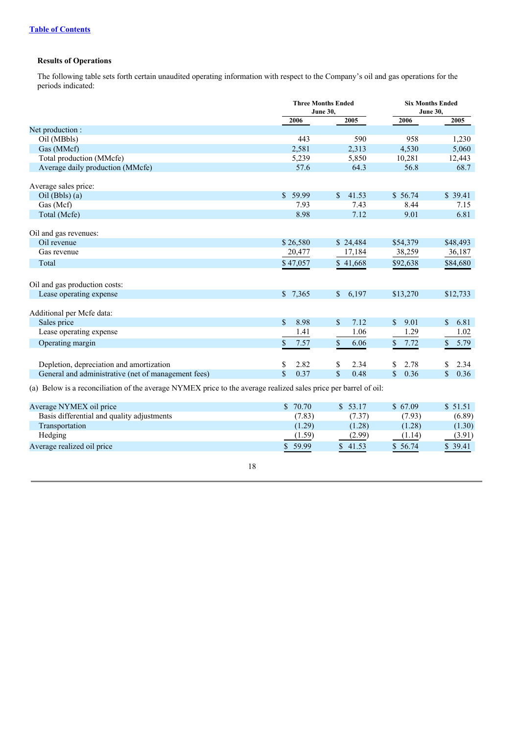## **Results of Operations**

The following table sets forth certain unaudited operating information with respect to the Company's oil and gas operations for the periods indicated:

|                                                                                                                 |                     | <b>Three Months Ended</b><br><b>June 30,</b> |                     | <b>Six Months Ended</b><br><b>June 30,</b> |  |
|-----------------------------------------------------------------------------------------------------------------|---------------------|----------------------------------------------|---------------------|--------------------------------------------|--|
|                                                                                                                 | 2006                | 2005                                         | 2006                | 2005                                       |  |
| Net production :                                                                                                |                     |                                              |                     |                                            |  |
| Oil (MBbls)                                                                                                     | 443                 | 590                                          | 958                 | 1,230                                      |  |
| Gas (MMcf)                                                                                                      | 2,581               | 2,313                                        | 4,530               | 5,060                                      |  |
| Total production (MMcfe)                                                                                        | 5,239               | 5,850                                        | 10,281              | 12,443                                     |  |
| Average daily production (MMcfe)                                                                                | 57.6                | 64.3                                         | 56.8                | 68.7                                       |  |
| Average sales price:                                                                                            |                     |                                              |                     |                                            |  |
| $Oil$ (Bbls) (a)                                                                                                | \$59.99             | 41.53<br>$\mathbb{S}$                        | \$56.74             | \$39.41                                    |  |
| Gas (Mcf)                                                                                                       | 7.93                | 7.43                                         | 8.44                | 7.15                                       |  |
| Total (Mcfe)                                                                                                    | 8.98                | 7.12                                         | 9.01                | 6.81                                       |  |
| Oil and gas revenues:                                                                                           |                     |                                              |                     |                                            |  |
| Oil revenue                                                                                                     | \$26,580            | \$24,484                                     | \$54,379            | \$48,493                                   |  |
| Gas revenue                                                                                                     | 20,477              | 17,184                                       | 38,259              | 36,187                                     |  |
| Total                                                                                                           | \$47,057            | \$41,668                                     | \$92,638            | \$84,680                                   |  |
|                                                                                                                 |                     |                                              |                     |                                            |  |
| Oil and gas production costs:                                                                                   |                     |                                              |                     |                                            |  |
| Lease operating expense                                                                                         | \$7,365             | $\mathbb{S}$<br>6,197                        | \$13,270            | \$12,733                                   |  |
| Additional per Mcfe data:                                                                                       |                     |                                              |                     |                                            |  |
| Sales price                                                                                                     | \$<br>8.98          | \$<br>7.12                                   | \$<br>9.01          | 6.81<br>\$                                 |  |
| Lease operating expense                                                                                         | 1.41                | 1.06                                         | 1.29                | 1.02                                       |  |
| Operating margin                                                                                                | \$<br>7.57          | $\mathbb{S}$<br>6.06                         | \$<br>7.72          | \$5.79                                     |  |
|                                                                                                                 |                     |                                              |                     |                                            |  |
| Depletion, depreciation and amortization                                                                        | 2.82<br>\$          | \$<br>2.34                                   | 2.78<br>\$          | 2.34<br>\$                                 |  |
| General and administrative (net of management fees)                                                             | $\mathbf S$<br>0.37 | $\mathbb{S}$<br>0.48                         | $\mathbf S$<br>0.36 | $\mathbb{S}$<br>0.36                       |  |
| (a) Below is a reconciliation of the average NYMEX price to the average realized sales price per barrel of oil: |                     |                                              |                     |                                            |  |

| Average NYMEX oil price                    | \$ 70.70 | \$53.17 | \$67.09 | \$ 51.51 |
|--------------------------------------------|----------|---------|---------|----------|
| Basis differential and quality adjustments | (7.83)   | (7.37)  | (7.93)  | (6.89)   |
| <b>Transportation</b>                      | (1.29)   | (1.28)  | (1.28)  | (1.30)   |
| Hedging                                    | (1.59)   | (2.99)  | (1.14)  | (3.91)   |
| Average realized oil price                 | \$59.99  | \$41.53 | \$56.74 | \$39.41  |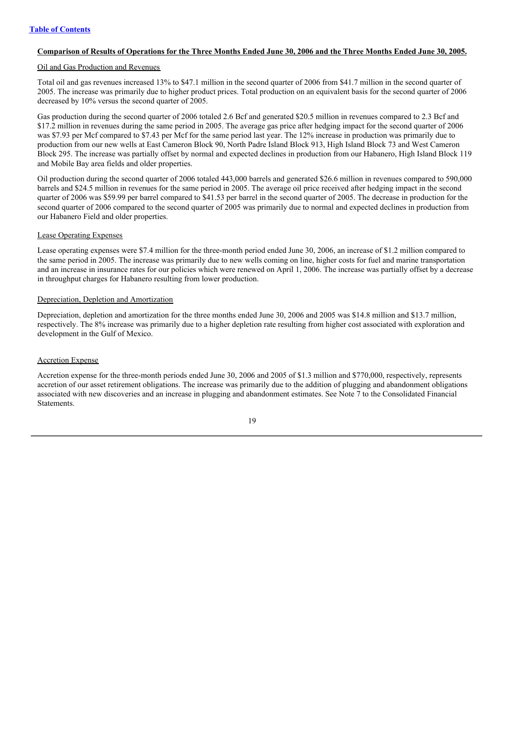## Comparison of Results of Operations for the Three Months Ended June 30, 2006 and the Three Months Ended June 30, 2005.

## Oil and Gas Production and Revenues

Total oil and gas revenues increased 13% to \$47.1 million in the second quarter of 2006 from \$41.7 million in the second quarter of 2005. The increase was primarily due to higher product prices. Total production on an equivalent basis for the second quarter of 2006 decreased by 10% versus the second quarter of 2005.

Gas production during the second quarter of 2006 totaled 2.6 Bcf and generated \$20.5 million in revenues compared to 2.3 Bcf and \$17.2 million in revenues during the same period in 2005. The average gas price after hedging impact for the second quarter of 2006 was \$7.93 per Mcf compared to \$7.43 per Mcf for the same period last year. The 12% increase in production was primarily due to production from our new wells at East Cameron Block 90, North Padre Island Block 913, High Island Block 73 and West Cameron Block 295. The increase was partially offset by normal and expected declines in production from our Habanero, High Island Block 119 and Mobile Bay area fields and older properties.

Oil production during the second quarter of 2006 totaled 443,000 barrels and generated \$26.6 million in revenues compared to 590,000 barrels and \$24.5 million in revenues for the same period in 2005. The average oil price received after hedging impact in the second quarter of 2006 was \$59.99 per barrel compared to \$41.53 per barrel in the second quarter of 2005. The decrease in production for the second quarter of 2006 compared to the second quarter of 2005 was primarily due to normal and expected declines in production from our Habanero Field and older properties.

#### Lease Operating Expenses

Lease operating expenses were \$7.4 million for the three-month period ended June 30, 2006, an increase of \$1.2 million compared to the same period in 2005. The increase was primarily due to new wells coming on line, higher costs for fuel and marine transportation and an increase in insurance rates for our policies which were renewed on April 1, 2006. The increase was partially offset by a decrease in throughput charges for Habanero resulting from lower production.

#### Depreciation, Depletion and Amortization

Depreciation, depletion and amortization for the three months ended June 30, 2006 and 2005 was \$14.8 million and \$13.7 million, respectively. The 8% increase was primarily due to a higher depletion rate resulting from higher cost associated with exploration and development in the Gulf of Mexico.

## Accretion Expense

Accretion expense for the three-month periods ended June 30, 2006 and 2005 of \$1.3 million and \$770,000, respectively, represents accretion of our asset retirement obligations. The increase was primarily due to the addition of plugging and abandonment obligations associated with new discoveries and an increase in plugging and abandonment estimates. See Note 7 to the Consolidated Financial Statements.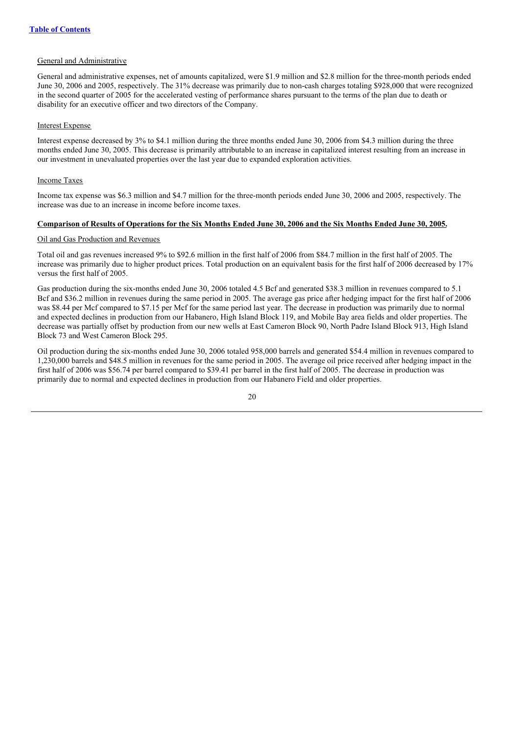#### General and Administrative

General and administrative expenses, net of amounts capitalized, were \$1.9 million and \$2.8 million for the three-month periods ended June 30, 2006 and 2005, respectively. The 31% decrease was primarily due to non-cash charges totaling \$928,000 that were recognized in the second quarter of 2005 for the accelerated vesting of performance shares pursuant to the terms of the plan due to death or disability for an executive officer and two directors of the Company.

### Interest Expense

Interest expense decreased by 3% to \$4.1 million during the three months ended June 30, 2006 from \$4.3 million during the three months ended June 30, 2005. This decrease is primarily attributable to an increase in capitalized interest resulting from an increase in our investment in unevaluated properties over the last year due to expanded exploration activities.

#### Income Taxes

Income tax expense was \$6.3 million and \$4.7 million for the three-month periods ended June 30, 2006 and 2005, respectively. The increase was due to an increase in income before income taxes.

## Comparison of Results of Operations for the Six Months Ended June 30, 2006 and the Six Months Ended June 30, 2005.

#### Oil and Gas Production and Revenues

Total oil and gas revenues increased 9% to \$92.6 million in the first half of 2006 from \$84.7 million in the first half of 2005. The increase was primarily due to higher product prices. Total production on an equivalent basis for the first half of 2006 decreased by 17% versus the first half of 2005.

Gas production during the six-months ended June 30, 2006 totaled 4.5 Bcf and generated \$38.3 million in revenues compared to 5.1 Bcf and \$36.2 million in revenues during the same period in 2005. The average gas price after hedging impact for the first half of 2006 was \$8.44 per Mcf compared to \$7.15 per Mcf for the same period last year. The decrease in production was primarily due to normal and expected declines in production from our Habanero, High Island Block 119, and Mobile Bay area fields and older properties. The decrease was partially offset by production from our new wells at East Cameron Block 90, North Padre Island Block 913, High Island Block 73 and West Cameron Block 295.

Oil production during the six-months ended June 30, 2006 totaled 958,000 barrels and generated \$54.4 million in revenues compared to 1,230,000 barrels and \$48.5 million in revenues for the same period in 2005. The average oil price received after hedging impact in the first half of 2006 was \$56.74 per barrel compared to \$39.41 per barrel in the first half of 2005. The decrease in production was primarily due to normal and expected declines in production from our Habanero Field and older properties.

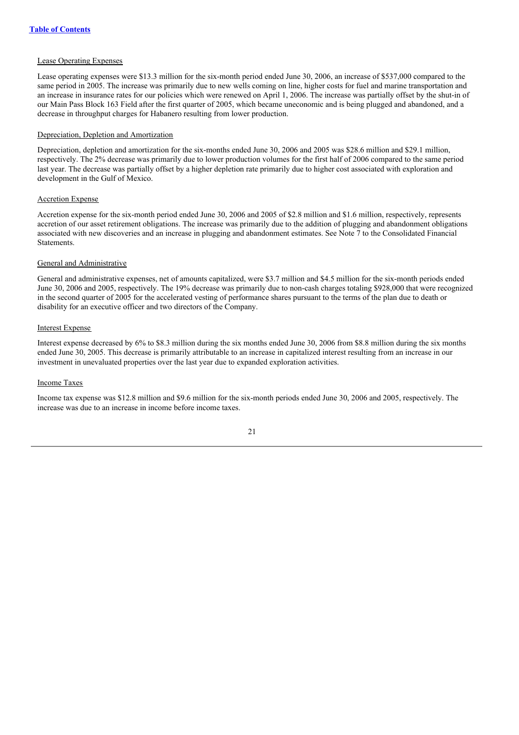#### Lease Operating Expenses

Lease operating expenses were \$13.3 million for the six-month period ended June 30, 2006, an increase of \$537,000 compared to the same period in 2005. The increase was primarily due to new wells coming on line, higher costs for fuel and marine transportation and an increase in insurance rates for our policies which were renewed on April 1, 2006. The increase was partially offset by the shut-in of our Main Pass Block 163 Field after the first quarter of 2005, which became uneconomic and is being plugged and abandoned, and a decrease in throughput charges for Habanero resulting from lower production.

#### Depreciation, Depletion and Amortization

Depreciation, depletion and amortization for the six-months ended June 30, 2006 and 2005 was \$28.6 million and \$29.1 million, respectively. The 2% decrease was primarily due to lower production volumes for the first half of 2006 compared to the same period last year. The decrease was partially offset by a higher depletion rate primarily due to higher cost associated with exploration and development in the Gulf of Mexico.

## Accretion Expense

Accretion expense for the six-month period ended June 30, 2006 and 2005 of \$2.8 million and \$1.6 million, respectively, represents accretion of our asset retirement obligations. The increase was primarily due to the addition of plugging and abandonment obligations associated with new discoveries and an increase in plugging and abandonment estimates. See Note 7 to the Consolidated Financial Statements.

#### General and Administrative

General and administrative expenses, net of amounts capitalized, were \$3.7 million and \$4.5 million for the six-month periods ended June 30, 2006 and 2005, respectively. The 19% decrease was primarily due to non-cash charges totaling \$928,000 that were recognized in the second quarter of 2005 for the accelerated vesting of performance shares pursuant to the terms of the plan due to death or disability for an executive officer and two directors of the Company.

## Interest Expense

Interest expense decreased by 6% to \$8.3 million during the six months ended June 30, 2006 from \$8.8 million during the six months ended June 30, 2005. This decrease is primarily attributable to an increase in capitalized interest resulting from an increase in our investment in unevaluated properties over the last year due to expanded exploration activities.

## Income Taxes

Income tax expense was \$12.8 million and \$9.6 million for the six-month periods ended June 30, 2006 and 2005, respectively. The increase was due to an increase in income before income taxes.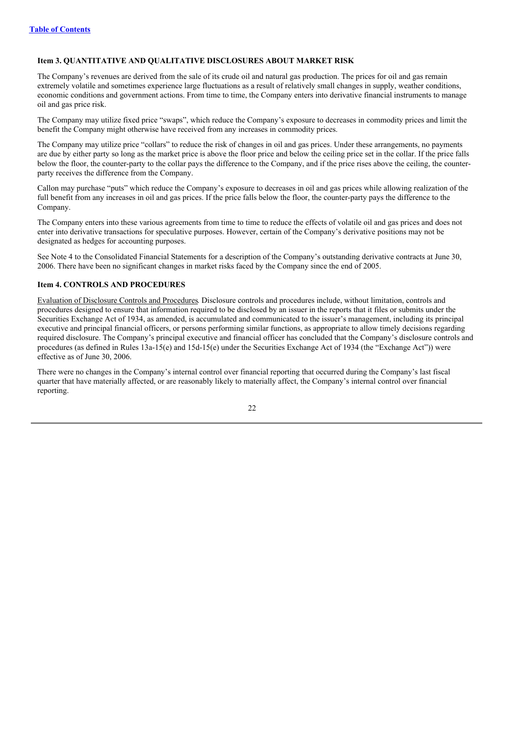## **Item 3. QUANTITATIVE AND QUALITATIVE DISCLOSURES ABOUT MARKET RISK**

The Company's revenues are derived from the sale of its crude oil and natural gas production. The prices for oil and gas remain extremely volatile and sometimes experience large fluctuations as a result of relatively small changes in supply, weather conditions, economic conditions and government actions. From time to time, the Company enters into derivative financial instruments to manage oil and gas price risk.

The Company may utilize fixed price "swaps", which reduce the Company's exposure to decreases in commodity prices and limit the benefit the Company might otherwise have received from any increases in commodity prices.

The Company may utilize price "collars" to reduce the risk of changes in oil and gas prices. Under these arrangements, no payments are due by either party so long as the market price is above the floor price and below the ceiling price set in the collar. If the price falls below the floor, the counter-party to the collar pays the difference to the Company, and if the price rises above the ceiling, the counterparty receives the difference from the Company.

Callon may purchase "puts" which reduce the Company's exposure to decreases in oil and gas prices while allowing realization of the full benefit from any increases in oil and gas prices. If the price falls below the floor, the counter-party pays the difference to the Company.

The Company enters into these various agreements from time to time to reduce the effects of volatile oil and gas prices and does not enter into derivative transactions for speculative purposes. However, certain of the Company's derivative positions may not be designated as hedges for accounting purposes.

See Note 4 to the Consolidated Financial Statements for a description of the Company's outstanding derivative contracts at June 30, 2006. There have been no significant changes in market risks faced by the Company since the end of 2005.

## **Item 4. CONTROLS AND PROCEDURES**

Evaluation of Disclosure Controls and Procedures. Disclosure controls and procedures include, without limitation, controls and procedures designed to ensure that information required to be disclosed by an issuer in the reports that it files or submits under the Securities Exchange Act of 1934, as amended, is accumulated and communicated to the issuer's management, including its principal executive and principal financial officers, or persons performing similar functions, as appropriate to allow timely decisions regarding required disclosure. The Company's principal executive and financial officer has concluded that the Company's disclosure controls and procedures (as defined in Rules 13a-15(e) and 15d-15(e) under the Securities Exchange Act of 1934 (the "Exchange Act")) were effective as of June 30, 2006.

There were no changes in the Company's internal control over financial reporting that occurred during the Company's last fiscal quarter that have materially affected, or are reasonably likely to materially affect, the Company's internal control over financial reporting.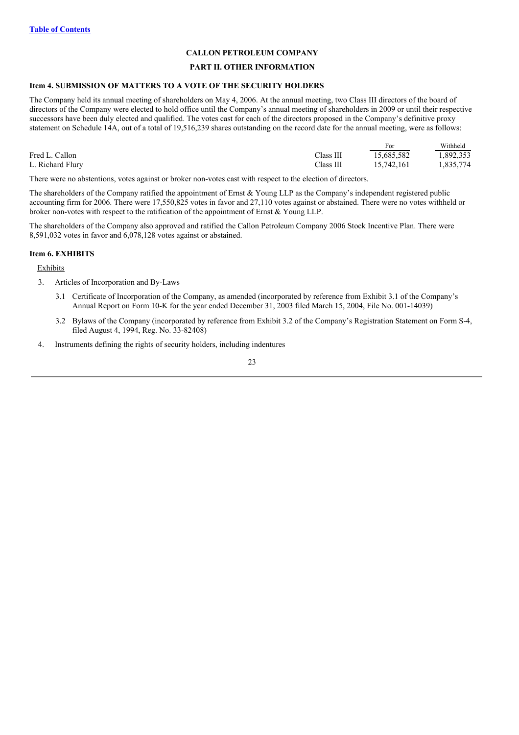## **CALLON PETROLEUM COMPANY**

## **PART II. OTHER INFORMATION**

## **Item 4. SUBMISSION OF MATTERS TO A VOTE OF THE SECURITY HOLDERS**

The Company held its annual meeting of shareholders on May 4, 2006. At the annual meeting, two Class III directors of the board of directors of the Company were elected to hold office until the Company's annual meeting of shareholders in 2009 or until their respective successors have been duly elected and qualified. The votes cast for each of the directors proposed in the Company's definitive proxy statement on Schedule 14A, out of a total of 19,516,239 shares outstanding on the record date for the annual meeting, were as follows:

|                  |           | For        | Withheld  |
|------------------|-----------|------------|-----------|
| Fred L. Callon   | Class III | 15.685.582 | 1,892,353 |
| L. Richard Flury | Class III | 15,742,161 | 1.835.774 |

There were no abstentions, votes against or broker non-votes cast with respect to the election of directors.

The shareholders of the Company ratified the appointment of Ernst & Young LLP as the Company's independent registered public accounting firm for 2006. There were 17,550,825 votes in favor and 27,110 votes against or abstained. There were no votes withheld or broker non-votes with respect to the ratification of the appointment of Ernst & Young LLP.

The shareholders of the Company also approved and ratified the Callon Petroleum Company 2006 Stock Incentive Plan. There were 8,591,032 votes in favor and 6,078,128 votes against or abstained.

### **Item 6. EXHIBITS**

Exhibits

- 3. Articles of Incorporation and By-Laws
	- 3.1 Certificate of Incorporation of the Company, as amended (incorporated by reference from Exhibit 3.1 of the Company's Annual Report on Form 10-K for the year ended December 31, 2003 filed March 15, 2004, File No. 001-14039)
	- 3.2 Bylaws of the Company (incorporated by reference from Exhibit 3.2 of the Company's Registration Statement on Form S-4, filed August 4, 1994, Reg. No. 33-82408)
- 4. Instruments defining the rights of security holders, including indentures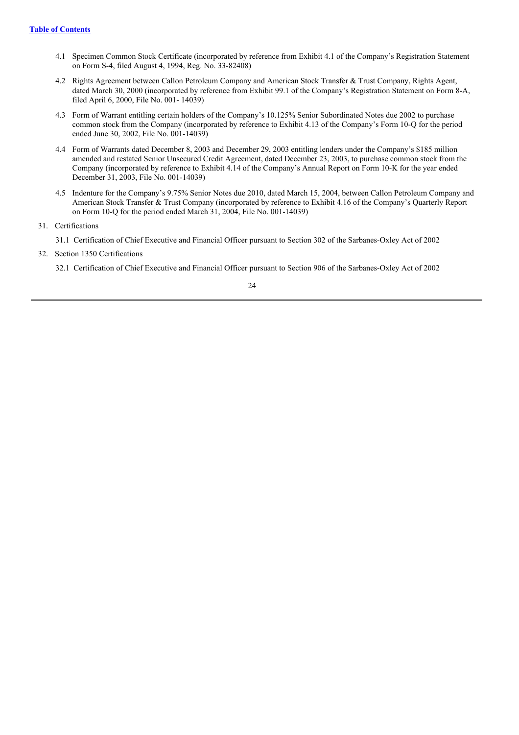- 4.1 Specimen Common Stock Certificate (incorporated by reference from Exhibit 4.1 of the Company's Registration Statement on Form S-4, filed August 4, 1994, Reg. No. 33-82408)
- 4.2 Rights Agreement between Callon Petroleum Company and American Stock Transfer & Trust Company, Rights Agent, dated March 30, 2000 (incorporated by reference from Exhibit 99.1 of the Company's Registration Statement on Form 8-A, filed April 6, 2000, File No. 001- 14039)
- 4.3 Form of Warrant entitling certain holders of the Company's 10.125% Senior Subordinated Notes due 2002 to purchase common stock from the Company (incorporated by reference to Exhibit 4.13 of the Company's Form 10-Q for the period ended June 30, 2002, File No. 001-14039)
- 4.4 Form of Warrants dated December 8, 2003 and December 29, 2003 entitling lenders under the Company's \$185 million amended and restated Senior Unsecured Credit Agreement, dated December 23, 2003, to purchase common stock from the Company (incorporated by reference to Exhibit 4.14 of the Company's Annual Report on Form 10-K for the year ended December 31, 2003, File No. 001-14039)
- 4.5 Indenture for the Company's 9.75% Senior Notes due 2010, dated March 15, 2004, between Callon Petroleum Company and American Stock Transfer & Trust Company (incorporated by reference to Exhibit 4.16 of the Company's Quarterly Report on Form 10-Q for the period ended March 31, 2004, File No. 001-14039)
- 31. Certifications
	- 31.1 Certification of Chief Executive and Financial Officer pursuant to Section 302 of the Sarbanes-Oxley Act of 2002
- 32. Section 1350 Certifications
	- 32.1 Certification of Chief Executive and Financial Officer pursuant to Section 906 of the Sarbanes-Oxley Act of 2002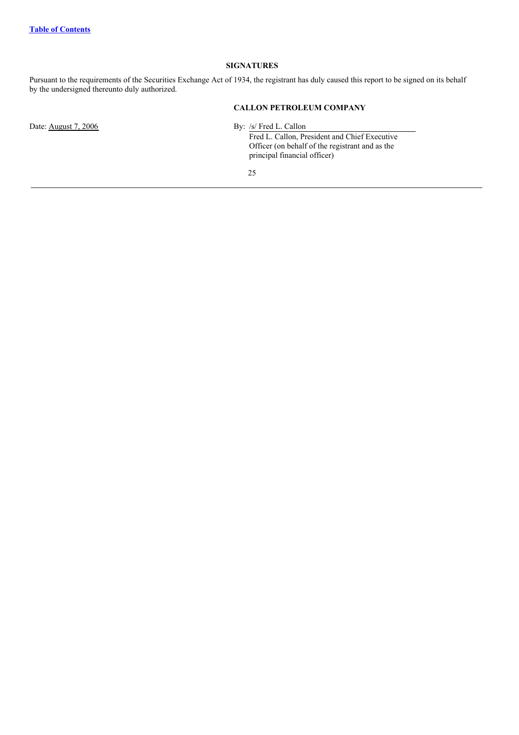## **SIGNATURES**

Pursuant to the requirements of the Securities Exchange Act of 1934, the registrant has duly caused this report to be signed on its behalf by the undersigned thereunto duly authorized.

## **CALLON PETROLEUM COMPANY**

Date: <u>August 7, 2006</u> By: /s/ Fred L. Callon

Fred L. Callon, President and Chief Executive Officer (on behalf of the registrant and as the principal financial officer)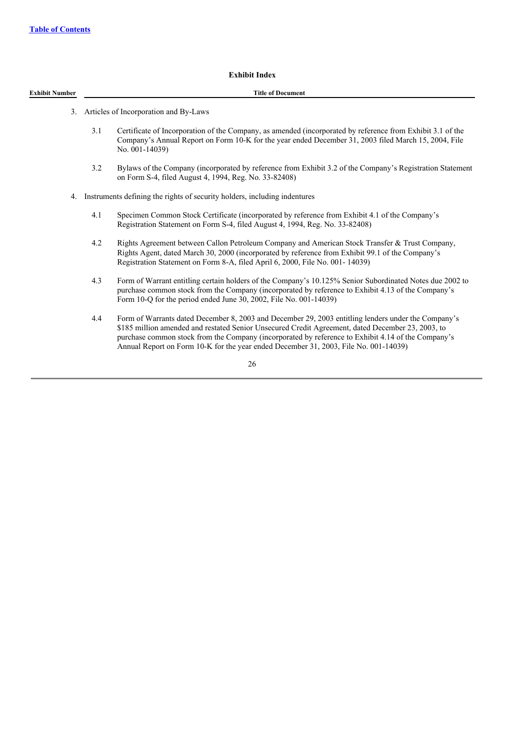## **Exhibit Index Exhibit Number Title of Document** 3. Articles of Incorporation and By-Laws 3.1 Certificate of Incorporation of the Company, as amended (incorporated by reference from Exhibit 3.1 of the Company's Annual Report on Form 10-K for the year ended December 31, 2003 filed March 15, 2004, File No. 001-14039) 3.2 Bylaws of the Company (incorporated by reference from Exhibit 3.2 of the Company's Registration Statement on Form S-4, filed August 4, 1994, Reg. No. 33-82408) 4. Instruments defining the rights of security holders, including indentures 4.1 Specimen Common Stock Certificate (incorporated by reference from Exhibit 4.1 of the Company's Registration Statement on Form S-4, filed August 4, 1994, Reg. No. 33-82408) 4.2 Rights Agreement between Callon Petroleum Company and American Stock Transfer & Trust Company, Rights Agent, dated March 30, 2000 (incorporated by reference from Exhibit 99.1 of the Company's Registration Statement on Form 8-A, filed April 6, 2000, File No. 001- 14039) 4.3 Form of Warrant entitling certain holders of the Company's 10.125% Senior Subordinated Notes due 2002 to purchase common stock from the Company (incorporated by reference to Exhibit 4.13 of the Company's Form 10-Q for the period ended June 30, 2002, File No. 001-14039) 4.4 Form of Warrants dated December 8, 2003 and December 29, 2003 entitling lenders under the Company's \$185 million amended and restated Senior Unsecured Credit Agreement, dated December 23, 2003, to purchase common stock from the Company (incorporated by reference to Exhibit 4.14 of the Company's Annual Report on Form 10-K for the year ended December 31, 2003, File No. 001-14039) 26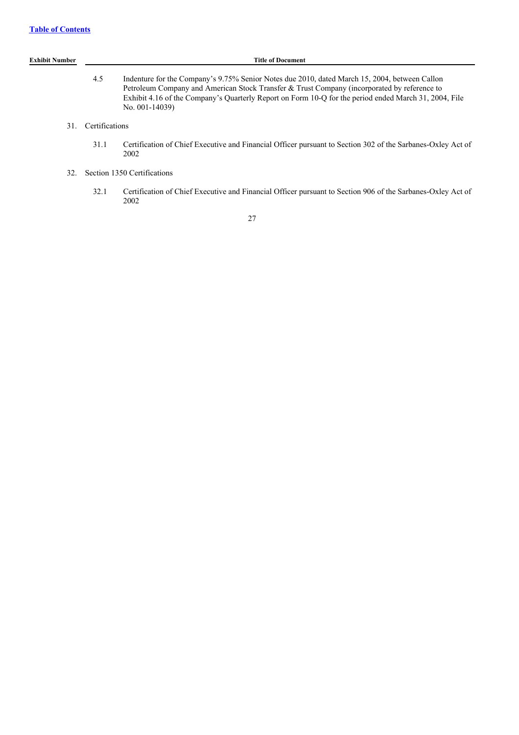| <b>Exhibit Number</b> |                | <b>Title of Document</b>                                                                                                                                                                                                                                                                                                 |  |  |  |
|-----------------------|----------------|--------------------------------------------------------------------------------------------------------------------------------------------------------------------------------------------------------------------------------------------------------------------------------------------------------------------------|--|--|--|
|                       | 4.5            | Indenture for the Company's 9.75% Senior Notes due 2010, dated March 15, 2004, between Callon<br>Petroleum Company and American Stock Transfer & Trust Company (incorporated by reference to<br>Exhibit 4.16 of the Company's Quarterly Report on Form 10-Q for the period ended March 31, 2004, File<br>No. $001-14039$ |  |  |  |
| 31.                   | Certifications |                                                                                                                                                                                                                                                                                                                          |  |  |  |
|                       | 31.1           | Certification of Chief Executive and Financial Officer pursuant to Section 302 of the Sarbanes-Oxley Act of<br>2002                                                                                                                                                                                                      |  |  |  |

- 32. Section 1350 Certifications
	- 32.1 Certification of Chief Executive and Financial Officer pursuant to Section 906 of the Sarbanes-Oxley Act of 2002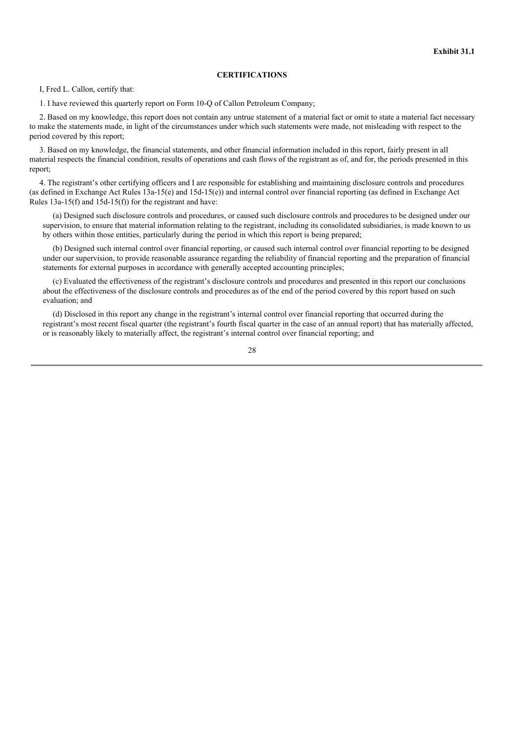#### **CERTIFICATIONS**

<span id="page-27-0"></span>I, Fred L. Callon, certify that:

1. I have reviewed this quarterly report on Form 10-Q of Callon Petroleum Company;

2. Based on my knowledge, this report does not contain any untrue statement of a material fact or omit to state a material fact necessary to make the statements made, in light of the circumstances under which such statements were made, not misleading with respect to the period covered by this report;

3. Based on my knowledge, the financial statements, and other financial information included in this report, fairly present in all material respects the financial condition, results of operations and cash flows of the registrant as of, and for, the periods presented in this report;

4. The registrant's other certifying officers and I are responsible for establishing and maintaining disclosure controls and procedures (as defined in Exchange Act Rules 13a-15(e) and 15d-15(e)) and internal control over financial reporting (as defined in Exchange Act Rules  $13a-15(f)$  and  $15d-15(f)$  for the registrant and have:

(a) Designed such disclosure controls and procedures, or caused such disclosure controls and procedures to be designed under our supervision, to ensure that material information relating to the registrant, including its consolidated subsidiaries, is made known to us by others within those entities, particularly during the period in which this report is being prepared;

(b) Designed such internal control over financial reporting, or caused such internal control over financial reporting to be designed under our supervision, to provide reasonable assurance regarding the reliability of financial reporting and the preparation of financial statements for external purposes in accordance with generally accepted accounting principles;

(c) Evaluated the effectiveness of the registrant's disclosure controls and procedures and presented in this report our conclusions about the effectiveness of the disclosure controls and procedures as of the end of the period covered by this report based on such evaluation; and

(d) Disclosed in this report any change in the registrant's internal control over financial reporting that occurred during the registrant's most recent fiscal quarter (the registrant's fourth fiscal quarter in the case of an annual report) that has materially affected, or is reasonably likely to materially affect, the registrant's internal control over financial reporting; and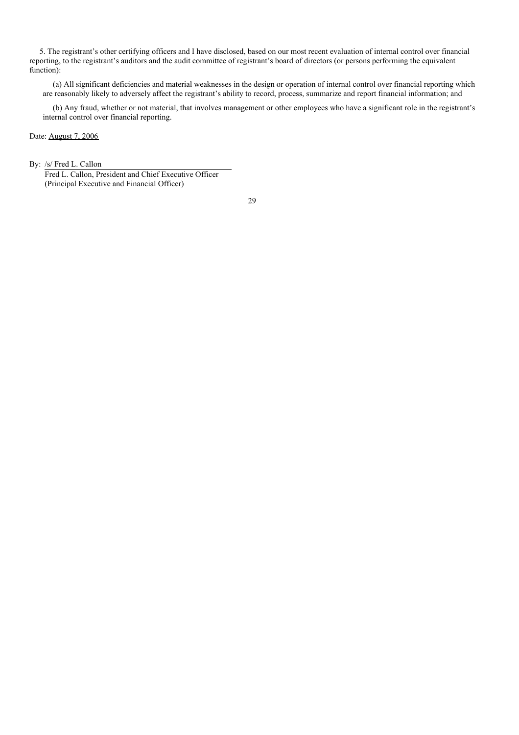5. The registrant's other certifying officers and I have disclosed, based on our most recent evaluation of internal control over financial reporting, to the registrant's auditors and the audit committee of registrant's board of directors (or persons performing the equivalent function):

(a) All significant deficiencies and material weaknesses in the design or operation of internal control over financial reporting which are reasonably likely to adversely affect the registrant's ability to record, process, summarize and report financial information; and

(b) Any fraud, whether or not material, that involves management or other employees who have a significant role in the registrant's internal control over financial reporting.

Date: August 7, 2006

By: /s/ Fred L. Callon

Fred L. Callon, President and Chief Executive Officer (Principal Executive and Financial Officer)